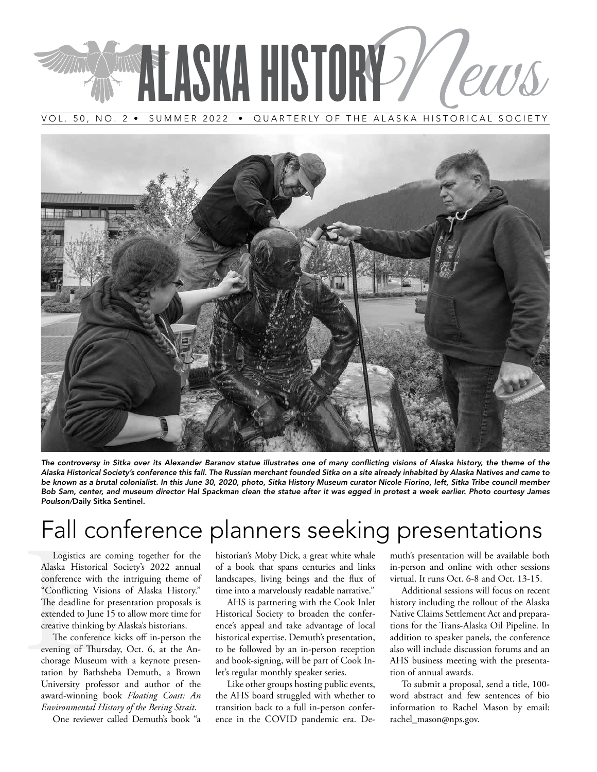

VOL. 50, NO. 2 • SUMMER 2022 • QUARTERLY OF THE ALASKA HISTORICAL SOCIETY



The controversy in Sitka over its Alexander Baranov statue illustrates one of many conflicting visions of Alaska history, the theme of the *Alaska Historical Society's conference this fall. The Russian merchant founded Sitka on a site already inhabited by Alaska Natives and came to*  be known as a brutal colonialist. In this June 30, 2020, photo, Sitka History Museum curator Nicole Fiorino, left, Sitka Tribe council member Bob Sam, center, and museum director Hal Spackman clean the statue after it was egged in protest a week earlier. Photo courtesy James Poulson/Daily Sitka Sentinel*.*

# Fall conference planners seeking presentations

Logistics are<br>Alaska Historica<br>conference with<br>"Conflicting Vis<br>The deadline for<br>extended to June<br>creative thinking<br>The conference<br>evening of Thurs<br>chorage Museum<br>tation by Bathsl<br>University profe Logistics are coming together for the Alaska Historical Society's 2022 annual conference with the intriguing theme of "Conflicting Visions of Alaska History." The deadline for presentation proposals is extended to June 15 to allow more time for creative thinking by Alaska's historians.

The conference kicks off in-person the evening of Thursday, Oct. 6, at the Anchorage Museum with a keynote presentation by Bathsheba Demuth, a Brown University professor and author of the award-winning book *Floating Coast: An Environmental History of the Bering Strait*.

One reviewer called Demuth's book "a

historian's Moby Dick, a great white whale of a book that spans centuries and links landscapes, living beings and the flux of time into a marvelously readable narrative."

AHS is partnering with the Cook Inlet Historical Society to broaden the conference's appeal and take advantage of local historical expertise. Demuth's presentation, to be followed by an in-person reception and book-signing, will be part of Cook Inlet's regular monthly speaker series.

Like other groups hosting public events, the AHS board struggled with whether to transition back to a full in-person conference in the COVID pandemic era. Demuth's presentation will be available both in-person and online with other sessions virtual. It runs Oct. 6-8 and Oct. 13-15.

Additional sessions will focus on recent history including the rollout of the Alaska Native Claims Settlement Act and preparations for the Trans-Alaska Oil Pipeline. In addition to speaker panels, the conference also will include discussion forums and an AHS business meeting with the presentation of annual awards.

To submit a proposal, send a title, 100 word abstract and few sentences of bio information to Rachel Mason by email: rachel\_mason@nps.gov.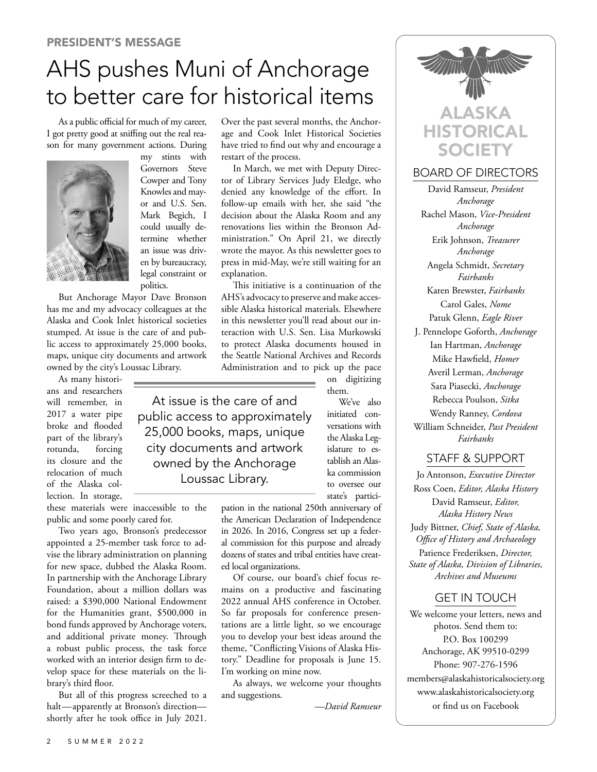# AHS pushes Muni of Anchorage to better care for historical items

As a public official for much of my career, I got pretty good at sniffing out the real reason for many government actions. During



my stints with Governors Steve Cowper and Tony Knowles and mayor and U.S. Sen. Mark Begich, I could usually determine whether an issue was driven by bureaucracy, legal constraint or politics.

But Anchorage Mayor Dave Bronson has me and my advocacy colleagues at the Alaska and Cook Inlet historical societies stumped. At issue is the care of and public access to approximately 25,000 books, maps, unique city documents and artwork owned by the city's Loussac Library.

As many historians and researchers will remember, in 2017 a water pipe broke and flooded part of the library's rotunda, forcing its closure and the relocation of much of the Alaska collection. In storage,

these materials were inaccessible to the public and some poorly cared for.

Two years ago, Bronson's predecessor appointed a 25-member task force to advise the library administration on planning for new space, dubbed the Alaska Room. In partnership with the Anchorage Library Foundation, about a million dollars was raised: a \$390,000 National Endowment for the Humanities grant, \$500,000 in bond funds approved by Anchorage voters, and additional private money. Through a robust public process, the task force worked with an interior design firm to develop space for these materials on the library's third floor.

But all of this progress screeched to a halt—apparently at Bronson's direction shortly after he took office in July 2021.

Over the past several months, the Anchorage and Cook Inlet Historical Societies have tried to find out why and encourage a restart of the process.

In March, we met with Deputy Director of Library Services Judy Eledge, who denied any knowledge of the effort. In follow-up emails with her, she said "the decision about the Alaska Room and any renovations lies within the Bronson Administration." On April 21, we directly wrote the mayor. As this newsletter goes to press in mid-May, we're still waiting for an explanation.

This initiative is a continuation of the AHS's advocacy to preserve and make accessible Alaska historical materials. Elsewhere in this newsletter you'll read about our interaction with U.S. Sen. Lisa Murkowski to protect Alaska documents housed in the Seattle National Archives and Records Administration and to pick up the pace

on digitizing them.

We've also initiated con-

At issue is the care of and public access to approximately 25,000 books, maps, unique city documents and artwork owned by the Anchorage Loussac Library.

versations with the Alaska Legislature to establish an Alaska commission to oversee our state's partici-

pation in the national 250th anniversary of the American Declaration of Independence in 2026. In 2016, Congress set up a federal commission for this purpose and already dozens of states and tribal entities have created local organizations.

Of course, our board's chief focus remains on a productive and fascinating 2022 annual AHS conference in October. So far proposals for conference presentations are a little light, so we encourage you to develop your best ideas around the theme, "Conflicting Visions of Alaska History." Deadline for proposals is June 15. I'm working on mine now.

As always, we welcome your thoughts and suggestions.

*—David Ramseur*



#### BOARD OF DIRECTORS

David Ramseur, *President Anchorage* Rachel Mason, *Vice-President Anchorage* Erik Johnson, *Treasurer Anchorage* Angela Schmidt, *Secretary Fairbanks* Karen Brewster, *Fairbanks* Carol Gales, *Nome* Patuk Glenn, *Eagle River* J. Pennelope Goforth, *Anchorage* Ian Hartman, *Anchorage* Mike Hawfield, *Homer* Averil Lerman, *Anchorage* Sara Piasecki, *Anchorage* Rebecca Poulson, *Sitka* Wendy Ranney, *Cordova* William Schneider, *Past President* 

#### *Fairbanks*

#### STAFF & SUPPORT

Jo Antonson, *Executive Director* Ross Coen, *Editor, Alaska History* David Ramseur, *Editor, Alaska History News* Judy Bittner, *Chief, State of Alaska, Office of History and Archaeology* Patience Frederiksen, *Director, State of Alaska, Division of Libraries, Archives and Museums*

#### GET IN TOUCH

We welcome your letters, news and photos. Send them to: P.O. Box 100299 Anchorage, AK 99510-0299 Phone: 907-276-1596 members@alaskahistoricalsociety.org www.alaskahistoricalsociety.org or find us on Facebook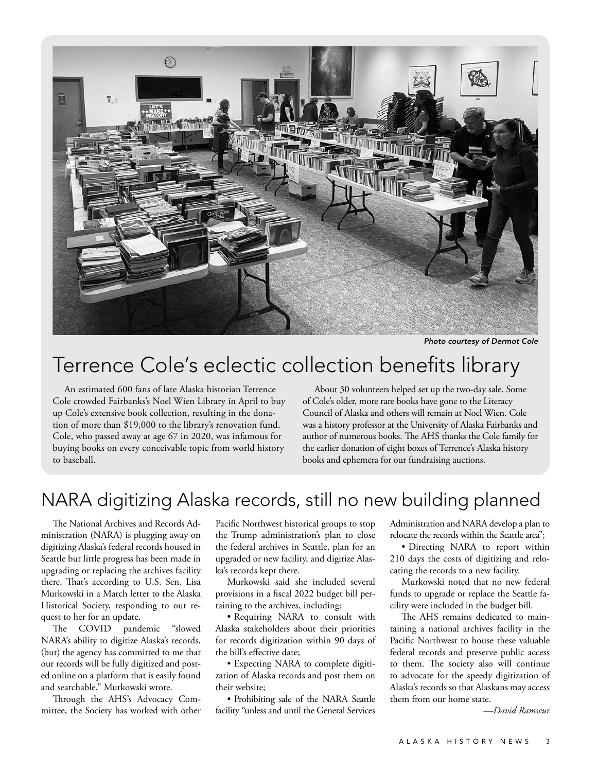

Photo courtesy of Dermot Cole

## Terrence Cole's eclectic collection benefits library

An estimated 600 fans of late Alaska historian Terrence Cole crowded Fairbanks's Noel Wien Library in April to buy up Cole's extensive book collection, resulting in the donation of more than \$19,000 to the library's renovation fund. Cole, who passed away at age 67 in 2020, was infamous for buying books on every conceivable topic from world history to baseball.

About 30 volunteers helped set up the two-day sale. Some of Cole's older, more rare books have gone to the Literacy Council of Alaska and others will remain at Noel Wien. Cole was a history professor at the University of Alaska Fairbanks and author of numerous books. The AHS thanks the Cole family for the earlier donation of eight boxes of Terrence's Alaska history books and ephemera for our fundraising auctions.

### NARA digitizing Alaska records, still no new building planned

The National Archives and Records Administration (NARA) is plugging away on digitizing Alaska's federal records housed in Seattle but little progress has been made in upgrading or replacing the archives facility there. That's according to U.S. Sen. Lisa Murkowski in a March letter to the Alaska Historical Society, responding to our request to her for an update.

The COVID pandemic "slowed NARA's ability to digitize Alaska's records, (but) the agency has committed to me that our records will be fully digitized and posted online on a platform that is easily found and searchable," Murkowski wrote.

Through the AHS's Advocacy Committee, the Society has worked with other Pacific Northwest historical groups to stop the Trump administration's plan to close the federal archives in Seattle, plan for an upgraded or new facility, and digitize Alaska's records kept there.

Murkowski said she included several provisions in a fiscal 2022 budget bill pertaining to the archives, including:

• Requiring NARA to consult with Alaska stakeholders about their priorities for records digitization within 90 days of the bill's effective date;

• Expecting NARA to complete digitization of Alaska records and post them on their website;

• Prohibiting sale of the NARA Seattle facility "unless and until the General Services Administration and NARA develop a plan to relocate the records within the Seattle area";

• Directing NARA to report within 210 days the costs of digitizing and relocating the records to a new facility.

Murkowski noted that no new federal funds to upgrade or replace the Seattle facility were included in the budget bill.

The AHS remains dedicated to maintaining a national archives facility in the Pacific Northwest to house these valuable federal records and preserve public access to them. The society also will continue to advocate for the speedy digitization of Alaska's records so that Alaskans may access them from our home state.

*—David Ramseur*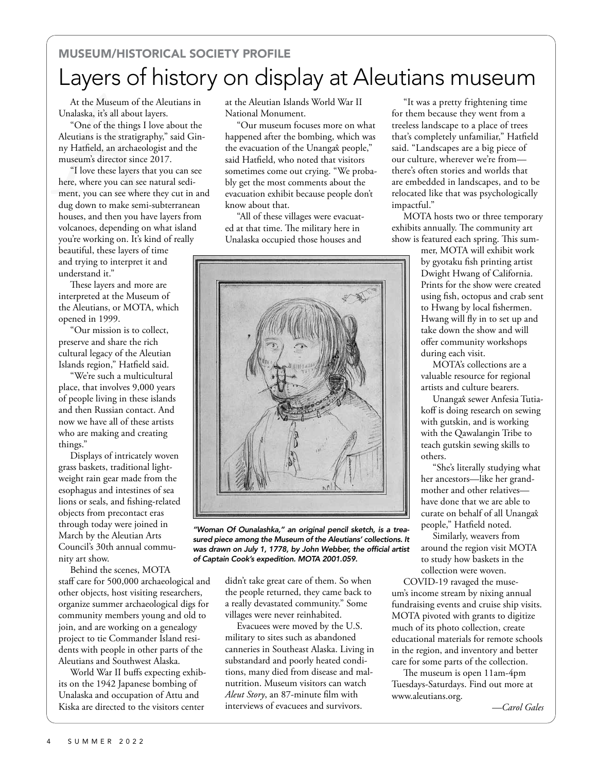## MUSEUM/HISTORICAL SOCIETY PROFILE Layers of history on display at Aleutians museum

At the Museum of the Aleutians in Unalaska, it's all about layers.

"One of the things I love about the Aleutians is the stratigraphy," said Ginny Hatfield, an archaeologist and the museum's director since 2017.

At the Museum of the Unalaska, it's all about l<br>
"One of the things I<br>
"One of the things I<br>
Aleutians is the stratigra<br>
ny Hatfield, an archaeol<br>
museum's director since<br>
"I love these layers the<br>
here, where you can see<br> "I love these layers that you can see here, where you can see natural sediment, you can see where they cut in and dug down to make semi-subterranean houses, and then you have layers from volcanoes, depending on what island you're working on. It's kind of really beautiful, these layers of time and trying to interpret it and understand it."

These layers and more are interpreted at the Museum of the Aleutians, or MOTA, which opened in 1999.

"Our mission is to collect, preserve and share the rich cultural legacy of the Aleutian Islands region," Hatfield said.

"We're such a multicultural place, that involves 9,000 years of people living in these islands and then Russian contact. And now we have all of these artists who are making and creating things."

Displays of intricately woven grass baskets, traditional lightweight rain gear made from the esophagus and intestines of sea lions or seals, and fishing-related objects from precontact eras through today were joined in March by the Aleutian Arts Council's 30th annual community art show.

Behind the scenes, MOTA staff care for 500,000 archaeological and other objects, host visiting researchers, organize summer archaeological digs for community members young and old to join, and are working on a genealogy project to tie Commander Island residents with people in other parts of the Aleutians and Southwest Alaska.

World War II buffs expecting exhibits on the 1942 Japanese bombing of Unalaska and occupation of Attu and Kiska are directed to the visitors center

at the Aleutian Islands World War II National Monument.

"Our museum focuses more on what happened after the bombing, which was the evacuation of the Unanga's people," said Hatfield, who noted that visitors sometimes come out crying. "We probably get the most comments about the evacuation exhibit because people don't know about that.

"All of these villages were evacuated at that time. The military here in Unalaska occupied those houses and



"Woman Of Ounalashka," an original pencil sketch, is a treasured piece among the Museum of the Aleutians' collections. It was drawn on July 1, 1778, by John Webber, the official artist of Captain Cook's expedition. MOTA 2001.059.

didn't take great care of them. So when the people returned, they came back to a really devastated community." Some villages were never reinhabited.

Evacuees were moved by the U.S. military to sites such as abandoned canneries in Southeast Alaska. Living in substandard and poorly heated conditions, many died from disease and malnutrition. Museum visitors can watch *Aleut Story*, an 87-minute film with interviews of evacuees and survivors.

"It was a pretty frightening time for them because they went from a treeless landscape to a place of trees that's completely unfamiliar," Hatfield said. "Landscapes are a big piece of our culture, wherever we're from there's often stories and worlds that are embedded in landscapes, and to be relocated like that was psychologically impactful."

MOTA hosts two or three temporary exhibits annually. The community art show is featured each spring. This sum-

> mer, MOTA will exhibit work by gyotaku fish printing artist Dwight Hwang of California. Prints for the show were created using fish, octopus and crab sent to Hwang by local fishermen. Hwang will fly in to set up and take down the show and will offer community workshops during each visit.

MOTA's collections are a valuable resource for regional artists and culture bearers.

Unangax sewer Anfesia Tutiakoff is doing research on sewing with gutskin, and is working with the Qawalangin Tribe to teach gutskin sewing skills to others.

"She's literally studying what her ancestors—like her grandmother and other relatives have done that we are able to curate on behalf of all Unangax people," Hatfield noted.

Similarly, weavers from around the region visit MOTA to study how baskets in the collection were woven.

COVID-19 ravaged the museum's income stream by nixing annual fundraising events and cruise ship visits. MOTA pivoted with grants to digitize much of its photo collection, create educational materials for remote schools in the region, and inventory and better care for some parts of the collection.

The museum is open 11am-4pm Tuesdays-Saturdays. Find out more at www.aleutians.org.

*—Carol Gales*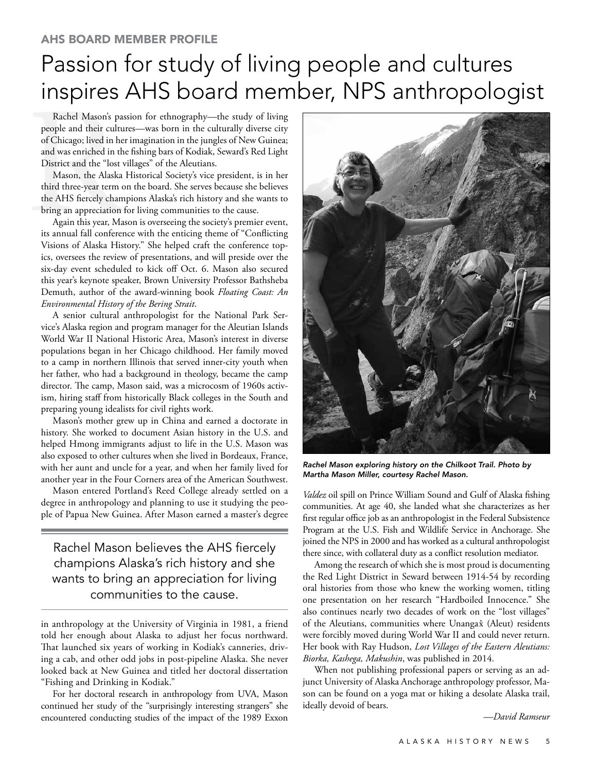#### AHS BOARD MEMBER PROFILE

# Passion for study of living people and cultures inspires AHS board member, NPS anthropologist

Rachel Mason's pa<br>people and their cultu<br>of Chicago; lived in h<br>and was enriched in tl<br>District and the "lost<br>Mason, the Alaska<br>third three-year term<br>the AHS fiercely char<br>bring an appreciation<br>Again this year, M:<br>its annu Rachel Mason's passion for ethnography—the study of living people and their cultures—was born in the culturally diverse city of Chicago; lived in her imagination in the jungles of New Guinea; and was enriched in the fishing bars of Kodiak, Seward's Red Light District and the "lost villages" of the Aleutians.

Mason, the Alaska Historical Society's vice president, is in her third three-year term on the board. She serves because she believes the AHS fiercely champions Alaska's rich history and she wants to bring an appreciation for living communities to the cause.

Again this year, Mason is overseeing the society's premier event, its annual fall conference with the enticing theme of "Conflicting Visions of Alaska History." She helped craft the conference topics, oversees the review of presentations, and will preside over the six-day event scheduled to kick off Oct. 6. Mason also secured this year's keynote speaker, Brown University Professor Bathsheba Demuth, author of the award-winning book *Floating Coast: An Environmental History of the Bering Strait*.

A senior cultural anthropologist for the National Park Service's Alaska region and program manager for the Aleutian Islands World War II National Historic Area, Mason's interest in diverse populations began in her Chicago childhood. Her family moved to a camp in northern Illinois that served inner-city youth when her father, who had a background in theology, became the camp director. The camp, Mason said, was a microcosm of 1960s activism, hiring staff from historically Black colleges in the South and preparing young idealists for civil rights work.

Mason's mother grew up in China and earned a doctorate in history. She worked to document Asian history in the U.S. and helped Hmong immigrants adjust to life in the U.S. Mason was also exposed to other cultures when she lived in Bordeaux, France, with her aunt and uncle for a year, and when her family lived for another year in the Four Corners area of the American Southwest.

Mason entered Portland's Reed College already settled on a degree in anthropology and planning to use it studying the people of Papua New Guinea. After Mason earned a master's degree

Rachel Mason believes the AHS fiercely champions Alaska's rich history and she wants to bring an appreciation for living communities to the cause.

in anthropology at the University of Virginia in 1981, a friend told her enough about Alaska to adjust her focus northward. That launched six years of working in Kodiak's canneries, driving a cab, and other odd jobs in post-pipeline Alaska. She never looked back at New Guinea and titled her doctoral dissertation "Fishing and Drinking in Kodiak."

For her doctoral research in anthropology from UVA, Mason continued her study of the "surprisingly interesting strangers" she encountered conducting studies of the impact of the 1989 Exxon



Rachel Mason exploring history on the Chilkoot Trail. Photo by Martha Mason Miller, courtesy Rachel Mason.

*Valdez* oil spill on Prince William Sound and Gulf of Alaska fishing communities. At age 40, she landed what she characterizes as her first regular office job as an anthropologist in the Federal Subsistence Program at the U.S. Fish and Wildlife Service in Anchorage. She joined the NPS in 2000 and has worked as a cultural anthropologist there since, with collateral duty as a conflict resolution mediator.

Among the research of which she is most proud is documenting the Red Light District in Seward between 1914-54 by recording oral histories from those who knew the working women, titling one presentation on her research "Hardboiled Innocence." She also continues nearly two decades of work on the "lost villages" of the Aleutians, communities where Unangax (Aleut) residents were forcibly moved during World War II and could never return. Her book with Ray Hudson, *Lost Villages of the Eastern Aleutians: Biorka, Kashega, Makushin*, was published in 2014.

When not publishing professional papers or serving as an adjunct University of Alaska Anchorage anthropology professor, Mason can be found on a yoga mat or hiking a desolate Alaska trail, ideally devoid of bears.

*—David Ramseur*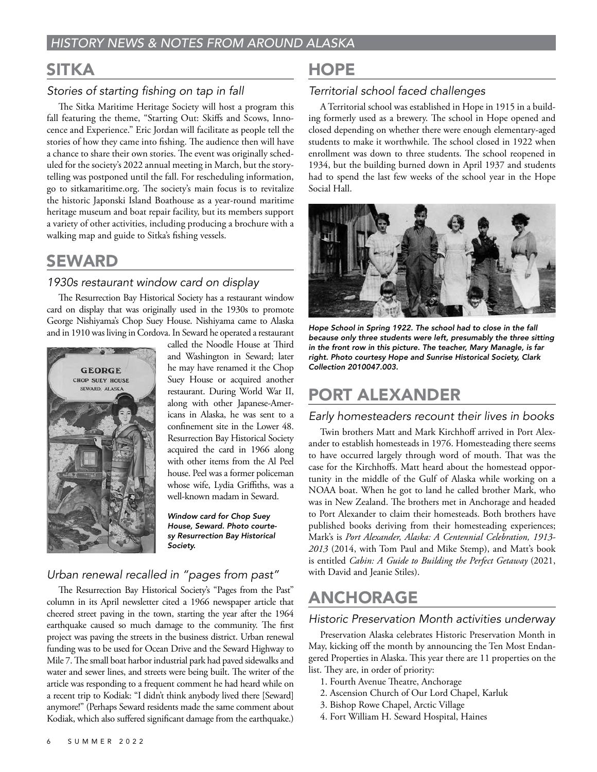### SITKA

#### Stories of starting fishing on tap in fall

The Sitka Maritime Heritage Society will host a program this fall featuring the theme, "Starting Out: Skiffs and Scows, Innocence and Experience." Eric Jordan will facilitate as people tell the stories of how they came into fishing. The audience then will have a chance to share their own stories. The event was originally scheduled for the society's 2022 annual meeting in March, but the storytelling was postponed until the fall. For rescheduling information, go to sitkamaritime.org. The society's main focus is to revitalize the historic Japonski Island Boathouse as a year-round maritime heritage museum and boat repair facility, but its members support a variety of other activities, including producing a brochure with a walking map and guide to Sitka's fishing vessels.

### SEWARD

#### 1930s restaurant window card on display

The Resurrection Bay Historical Society has a restaurant window card on display that was originally used in the 1930s to promote George Nishiyama's Chop Suey House. Nishiyama came to Alaska and in 1910 was living in Cordova. In Seward he operated a restaurant



called the Noodle House at Third and Washington in Seward; later he may have renamed it the Chop Suey House or acquired another restaurant. During World War II, along with other Japanese-Americans in Alaska, he was sent to a confinement site in the Lower 48. Resurrection Bay Historical Society acquired the card in 1966 along with other items from the Al Peel house. Peel was a former policeman whose wife, Lydia Griffiths, was a well-known madam in Seward.

Window card for Chop Suey House, Seward. Photo courte*sy Resurrection Bay Historical Society.*

#### Urban renewal recalled in "pages from past"

The Resurrection Bay Historical Society's "Pages from the Past" column in its April newsletter cited a 1966 newspaper article that cheered street paving in the town, starting the year after the 1964 earthquake caused so much damage to the community. The first project was paving the streets in the business district. Urban renewal funding was to be used for Ocean Drive and the Seward Highway to Mile 7. The small boat harbor industrial park had paved sidewalks and water and sewer lines, and streets were being built. The writer of the article was responding to a frequent comment he had heard while on a recent trip to Kodiak: "I didn't think anybody lived there [Seward] anymore!" (Perhaps Seward residents made the same comment about Kodiak, which also suffered significant damage from the earthquake.)

### **HOPE**

#### Territorial school faced challenges

A Territorial school was established in Hope in 1915 in a building formerly used as a brewery. The school in Hope opened and closed depending on whether there were enough elementary-aged students to make it worthwhile. The school closed in 1922 when enrollment was down to three students. The school reopened in 1934, but the building burned down in April 1937 and students had to spend the last few weeks of the school year in the Hope Social Hall.



Hope School in Spring 1922. The school had to close in the fall because only three students were left, presumably the three sitting in the front row in this picture. The teacher, Mary Managle, is far right. Photo courtesy Hope and Sunrise Historical Society, Clark Collection 2010047.003.

### PORT ALEXANDER

Early homesteaders recount their lives in books

Twin brothers Matt and Mark Kirchhoff arrived in Port Alexander to establish homesteads in 1976. Homesteading there seems to have occurred largely through word of mouth. That was the case for the Kirchhoffs. Matt heard about the homestead opportunity in the middle of the Gulf of Alaska while working on a NOAA boat. When he got to land he called brother Mark, who was in New Zealand. The brothers met in Anchorage and headed to Port Alexander to claim their homesteads. Both brothers have published books deriving from their homesteading experiences; Mark's is *Port Alexander, Alaska: A Centennial Celebration, 1913- 2013* (2014, with Tom Paul and Mike Stemp), and Matt's book is entitled *Cabin: A Guide to Building the Perfect Getaway* (2021, with David and Jeanie Stiles).

### ANCHORAGE

#### Historic Preservation Month activities underway

Preservation Alaska celebrates Historic Preservation Month in May, kicking off the month by announcing the Ten Most Endangered Properties in Alaska. This year there are 11 properties on the list. They are, in order of priority:

- 1. Fourth Avenue Theatre, Anchorage
- 2. Ascension Church of Our Lord Chapel, Karluk
- 3. Bishop Rowe Chapel, Arctic Village
- 4. Fort William H. Seward Hospital, Haines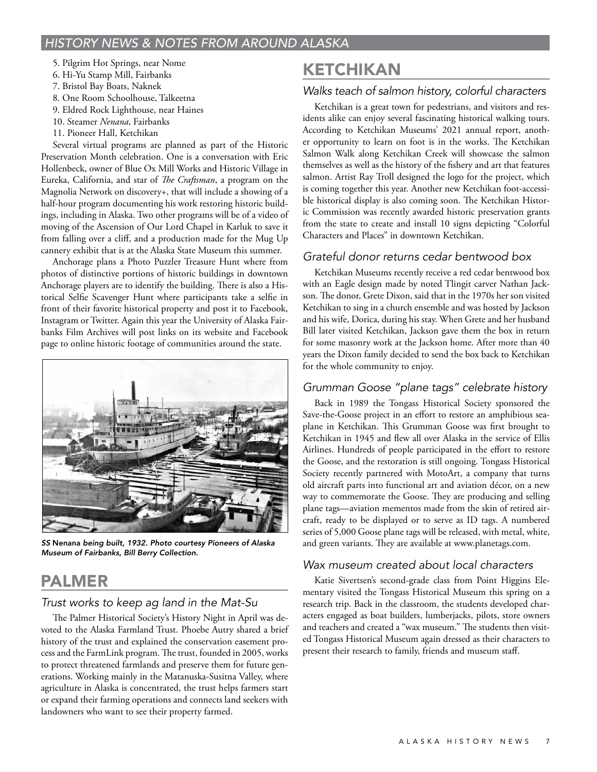#### *HISTORY NEWS & NOTES FROM AROUND ALASKA*

- 5. Pilgrim Hot Springs, near Nome
- 6. Hi-Yu Stamp Mill, Fairbanks
- 7. Bristol Bay Boats, Naknek
- 8. One Room Schoolhouse, Talkeetna
- 9. Eldred Rock Lighthouse, near Haines
- 10. Steamer *Nenana*, Fairbanks
- 11. Pioneer Hall, Ketchikan

Several virtual programs are planned as part of the Historic Preservation Month celebration. One is a conversation with Eric Hollenbeck, owner of Blue Ox Mill Works and Historic Village in Eureka, California, and star of *The Craftsman*, a program on the Magnolia Network on discovery+, that will include a showing of a half-hour program documenting his work restoring historic buildings, including in Alaska. Two other programs will be of a video of moving of the Ascension of Our Lord Chapel in Karluk to save it from falling over a cliff, and a production made for the Mug Up cannery exhibit that is at the Alaska State Museum this summer.

Anchorage plans a Photo Puzzler Treasure Hunt where from photos of distinctive portions of historic buildings in downtown Anchorage players are to identify the building. There is also a Historical Selfie Scavenger Hunt where participants take a selfie in front of their favorite historical property and post it to Facebook, Instagram or Twitter. Again this year the University of Alaska Fairbanks Film Archives will post links on its website and Facebook page to online historic footage of communities around the state.



*SS* Nenana being built, 1932. Photo courtesy Pioneers of Alaska Museum of Fairbanks, Bill Berry Collection.

### PALMER

#### Trust works to keep ag land in the Mat-Su

The Palmer Historical Society's History Night in April was devoted to the Alaska Farmland Trust. Phoebe Autry shared a brief history of the trust and explained the conservation easement process and the FarmLink program. The trust, founded in 2005, works to protect threatened farmlands and preserve them for future generations. Working mainly in the Matanuska-Susitna Valley, where agriculture in Alaska is concentrated, the trust helps farmers start or expand their farming operations and connects land seekers with landowners who want to see their property farmed.

### KETCHIKAN

#### Walks teach of salmon history, colorful characters

Ketchikan is a great town for pedestrians, and visitors and residents alike can enjoy several fascinating historical walking tours. According to Ketchikan Museums' 2021 annual report, another opportunity to learn on foot is in the works. The Ketchikan Salmon Walk along Ketchikan Creek will showcase the salmon themselves as well as the history of the fishery and art that features salmon. Artist Ray Troll designed the logo for the project, which is coming together this year. Another new Ketchikan foot-accessible historical display is also coming soon. The Ketchikan Historic Commission was recently awarded historic preservation grants from the state to create and install 10 signs depicting "Colorful Characters and Places" in downtown Ketchikan.

#### Grateful donor returns cedar bentwood box

Ketchikan Museums recently receive a red cedar bentwood box with an Eagle design made by noted Tlingit carver Nathan Jackson. The donor, Grete Dixon, said that in the 1970s her son visited Ketchikan to sing in a church ensemble and was hosted by Jackson and his wife, Dorica, during his stay. When Grete and her husband Bill later visited Ketchikan, Jackson gave them the box in return for some masonry work at the Jackson home. After more than 40 years the Dixon family decided to send the box back to Ketchikan for the whole community to enjoy.

#### Grumman Goose "plane tags" celebrate history

Back in 1989 the Tongass Historical Society sponsored the Save-the-Goose project in an effort to restore an amphibious seaplane in Ketchikan. This Grumman Goose was first brought to Ketchikan in 1945 and flew all over Alaska in the service of Ellis Airlines. Hundreds of people participated in the effort to restore the Goose, and the restoration is still ongoing. Tongass Historical Society recently partnered with MotoArt, a company that turns old aircraft parts into functional art and aviation décor, on a new way to commemorate the Goose. They are producing and selling plane tags—aviation mementos made from the skin of retired aircraft, ready to be displayed or to serve as ID tags. A numbered series of 5,000 Goose plane tags will be released, with metal, white, and green variants. They are available at www.planetags.com.

#### Wax museum created about local characters

Katie Sivertsen's second-grade class from Point Higgins Elementary visited the Tongass Historical Museum this spring on a research trip. Back in the classroom, the students developed characters engaged as boat builders, lumberjacks, pilots, store owners and teachers and created a "wax museum." The students then visited Tongass Historical Museum again dressed as their characters to present their research to family, friends and museum staff.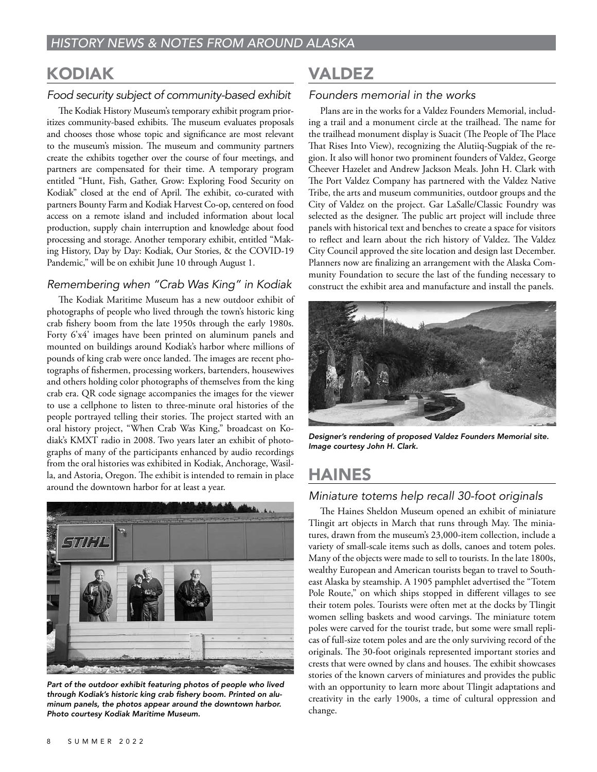### KODIAK

#### Food security subject of community-based exhibit

The Kodiak History Museum's temporary exhibit program prioritizes community-based exhibits. The museum evaluates proposals and chooses those whose topic and significance are most relevant to the museum's mission. The museum and community partners create the exhibits together over the course of four meetings, and partners are compensated for their time. A temporary program entitled "Hunt, Fish, Gather, Grow: Exploring Food Security on Kodiak" closed at the end of April. The exhibit, co-curated with partners Bounty Farm and Kodiak Harvest Co-op, centered on food access on a remote island and included information about local production, supply chain interruption and knowledge about food processing and storage. Another temporary exhibit, entitled "Making History, Day by Day: Kodiak, Our Stories, & the COVID-19 Pandemic," will be on exhibit June 10 through August 1.

#### Remembering when "Crab Was King" in Kodiak

The Kodiak Maritime Museum has a new outdoor exhibit of photographs of people who lived through the town's historic king crab fishery boom from the late 1950s through the early 1980s. Forty 6'x4' images have been printed on aluminum panels and mounted on buildings around Kodiak's harbor where millions of pounds of king crab were once landed. The images are recent photographs of fishermen, processing workers, bartenders, housewives and others holding color photographs of themselves from the king crab era. QR code signage accompanies the images for the viewer to use a cellphone to listen to three-minute oral histories of the people portrayed telling their stories. The project started with an oral history project, "When Crab Was King," broadcast on Kodiak's KMXT radio in 2008. Two years later an exhibit of photographs of many of the participants enhanced by audio recordings from the oral histories was exhibited in Kodiak, Anchorage, Wasilla, and Astoria, Oregon. The exhibit is intended to remain in place around the downtown harbor for at least a year.



Part of the outdoor exhibit featuring photos of people who lived through Kodiak's historic king crab fishery boom. Printed on aluminum panels, the photos appear around the downtown harbor. Photo courtesy Kodiak Maritime Museum.

### VALDEZ

#### Founders memorial in the works

Plans are in the works for a Valdez Founders Memorial, including a trail and a monument circle at the trailhead. The name for the trailhead monument display is Suacit (The People of The Place That Rises Into View), recognizing the Alutiiq-Sugpiak of the region. It also will honor two prominent founders of Valdez, George Cheever Hazelet and Andrew Jackson Meals. John H. Clark with The Port Valdez Company has partnered with the Valdez Native Tribe, the arts and museum communities, outdoor groups and the City of Valdez on the project. Gar LaSalle/Classic Foundry was selected as the designer. The public art project will include three panels with historical text and benches to create a space for visitors to reflect and learn about the rich history of Valdez. The Valdez City Council approved the site location and design last December. Planners now are finalizing an arrangement with the Alaska Community Foundation to secure the last of the funding necessary to construct the exhibit area and manufacture and install the panels.



Designer's rendering of proposed Valdez Founders Memorial site. Image courtesy John H. Clark.

### HAINES

#### Miniature totems help recall 30-foot originals

The Haines Sheldon Museum opened an exhibit of miniature Tlingit art objects in March that runs through May. The miniatures, drawn from the museum's 23,000-item collection, include a variety of small-scale items such as dolls, canoes and totem poles. Many of the objects were made to sell to tourists. In the late 1800s, wealthy European and American tourists began to travel to Southeast Alaska by steamship. A 1905 pamphlet advertised the "Totem Pole Route," on which ships stopped in different villages to see their totem poles. Tourists were often met at the docks by Tlingit women selling baskets and wood carvings. The miniature totem poles were carved for the tourist trade, but some were small replicas of full-size totem poles and are the only surviving record of the originals. The 30-foot originals represented important stories and crests that were owned by clans and houses. The exhibit showcases stories of the known carvers of miniatures and provides the public with an opportunity to learn more about Tlingit adaptations and creativity in the early 1900s, a time of cultural oppression and change.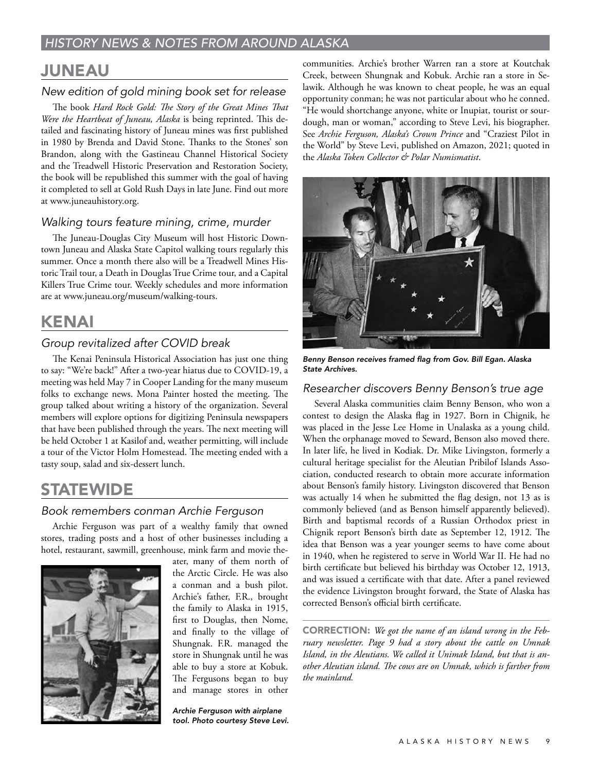#### *HISTORY NEWS & NOTES FROM AROUND ALASKA*

### JUNEAU

#### New edition of gold mining book set for release

The book *Hard Rock Gold: The Story of the Great Mines That Were the Heartbeat of Juneau, Alaska* is being reprinted. This detailed and fascinating history of Juneau mines was first published in 1980 by Brenda and David Stone. Thanks to the Stones' son Brandon, along with the Gastineau Channel Historical Society and the Treadwell Historic Preservation and Restoration Society, the book will be republished this summer with the goal of having it completed to sell at Gold Rush Days in late June. Find out more at www.juneauhistory.org.

#### Walking tours feature mining, crime, murder

The Juneau-Douglas City Museum will host Historic Downtown Juneau and Alaska State Capitol walking tours regularly this summer. Once a month there also will be a Treadwell Mines Historic Trail tour, a Death in Douglas True Crime tour, and a Capital Killers True Crime tour. Weekly schedules and more information are at www.juneau.org/museum/walking-tours.

#### KENAI

#### Group revitalized after COVID break

The Kenai Peninsula Historical Association has just one thing to say: "We're back!" After a two-year hiatus due to COVID-19, a meeting was held May 7 in Cooper Landing for the many museum folks to exchange news. Mona Painter hosted the meeting. The group talked about writing a history of the organization. Several members will explore options for digitizing Peninsula newspapers that have been published through the years. The next meeting will be held October 1 at Kasilof and, weather permitting, will include a tour of the Victor Holm Homestead. The meeting ended with a tasty soup, salad and six-dessert lunch.

### **STATEWIDE**

#### Book remembers conman Archie Ferguson

Archie Ferguson was part of a wealthy family that owned stores, trading posts and a host of other businesses including a hotel, restaurant, sawmill, greenhouse, mink farm and movie the-



ater, many of them north of the Arctic Circle. He was also a conman and a bush pilot. Archie's father, F.R., brought the family to Alaska in 1915, first to Douglas, then Nome, and finally to the village of Shungnak. F.R. managed the store in Shungnak until he was able to buy a store at Kobuk. The Fergusons began to buy and manage stores in other

Archie Ferguson with airplane tool. Photo courtesy Steve Levi. communities. Archie's brother Warren ran a store at Koutchak Creek, between Shungnak and Kobuk. Archie ran a store in Selawik. Although he was known to cheat people, he was an equal opportunity conman; he was not particular about who he conned. "He would shortchange anyone, white or Inupiat, tourist or sourdough, man or woman," according to Steve Levi, his biographer. See *Archie Ferguson, Alaska's Crown Prince* and "Craziest Pilot in the World" by Steve Levi, published on Amazon, 2021; quoted in the *Alaska Token Collector & Polar Numismatist*.



Benny Benson receives framed flag from Gov. Bill Egan. Alaska *State Archives.*

#### Researcher discovers Benny Benson's true age

Several Alaska communities claim Benny Benson, who won a contest to design the Alaska flag in 1927. Born in Chignik, he was placed in the Jesse Lee Home in Unalaska as a young child. When the orphanage moved to Seward, Benson also moved there. In later life, he lived in Kodiak. Dr. Mike Livingston, formerly a cultural heritage specialist for the Aleutian Pribilof Islands Association, conducted research to obtain more accurate information about Benson's family history. Livingston discovered that Benson was actually 14 when he submitted the flag design, not 13 as is commonly believed (and as Benson himself apparently believed). Birth and baptismal records of a Russian Orthodox priest in Chignik report Benson's birth date as September 12, 1912. The idea that Benson was a year younger seems to have come about in 1940, when he registered to serve in World War II. He had no birth certificate but believed his birthday was October 12, 1913, and was issued a certificate with that date. After a panel reviewed the evidence Livingston brought forward, the State of Alaska has corrected Benson's official birth certificate.

CORRECTION: *We got the name of an island wrong in the February newsletter. Page 9 had a story about the cattle on Umnak Island, in the Aleutians. We called it Unimak Island, but that is another Aleutian island. The cows are on Umnak, which is farther from the mainland.*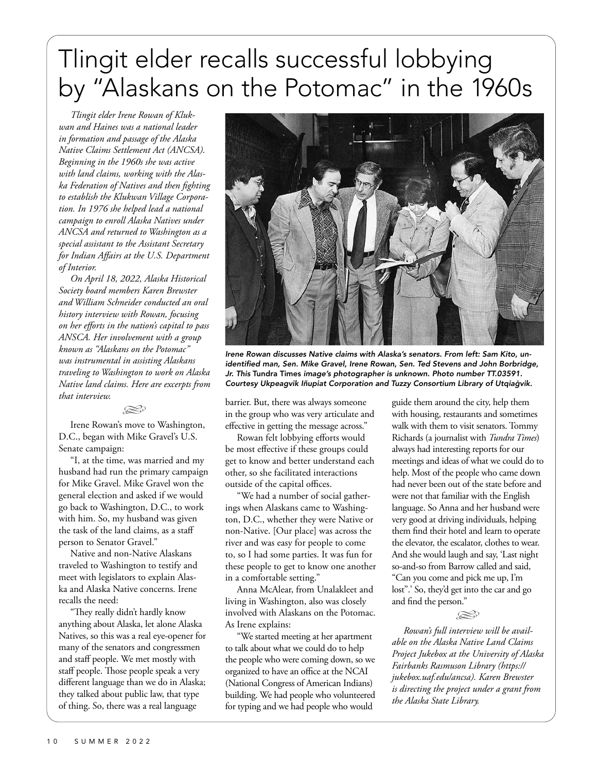# Tlingit elder recalls successful lobbying by "Alaskans on the Potomac" in the 1960s

*Tlingit elder Irene Rowan of Klukwan and Haines was a national leader in formation and passage of the Alaska Native Claims Settlement Act (ANCSA). Beginning in the 1960s she was active with land claims, working with the Alaska Federation of Natives and then fighting to establish the Klukwan Village Corporation. In 1976 she helped lead a national campaign to enroll Alaska Natives under ANCSA and returned to Washington as a special assistant to the Assistant Secretary for Indian Affairs at the U.S. Department of Interior.*

*On April 18, 2022, Alaska Historical Society board members Karen Brewster and William Schneider conducted an oral history interview with Rowan, focusing on her efforts in the nation's capital to pass ANSCA. Her involvement with a group known as "Alaskans on the Potomac" was instrumental in assisting Alaskans traveling to Washington to work on Alaska Native land claims. Here are excerpts from that interview.*

Irene Rowan's move to Washington, D.C., began with Mike Gravel's U.S. Senate campaign:

*�*

"I, at the time, was married and my husband had run the primary campaign for Mike Gravel. Mike Gravel won the general election and asked if we would go back to Washington, D.C., to work with him. So, my husband was given the task of the land claims, as a staff person to Senator Gravel."

Native and non-Native Alaskans traveled to Washington to testify and meet with legislators to explain Alaska and Alaska Native concerns. Irene recalls the need:

"They really didn't hardly know anything about Alaska, let alone Alaska Natives, so this was a real eye-opener for many of the senators and congressmen and staff people. We met mostly with staff people. Those people speak a very different language than we do in Alaska; they talked about public law, that type of thing. So, there was a real language



Irene Rowan discusses Native claims with Alaska's senators. From left: Sam Kito, unidentified man, Sen. Mike Gravel, Irene Rowan, Sen. Ted Stevens and John Borbridge, *Jr. This* Tundra Times image's photographer is unknown. Photo number TT.03591. Courtesy Ukpeagvik Iñupiat Corporation and Tuzzy Consortium Library of Utqiaġvik.

barrier. But, there was always someone in the group who was very articulate and effective in getting the message across."

Rowan felt lobbying efforts would be most effective if these groups could get to know and better understand each other, so she facilitated interactions outside of the capital offices.

"We had a number of social gatherings when Alaskans came to Washington, D.C., whether they were Native or non-Native. [Our place] was across the river and was easy for people to come to, so I had some parties. It was fun for these people to get to know one another in a comfortable setting."

Anna McAlear, from Unalakleet and living in Washington, also was closely involved with Alaskans on the Potomac. As Irene explains:

"We started meeting at her apartment to talk about what we could do to help the people who were coming down, so we organized to have an office at the NCAI (National Congress of American Indians) building. We had people who volunteered for typing and we had people who would

guide them around the city, help them with housing, restaurants and sometimes walk with them to visit senators. Tommy Richards (a journalist with *Tundra Times*) always had interesting reports for our meetings and ideas of what we could do to help. Most of the people who came down had never been out of the state before and were not that familiar with the English language. So Anna and her husband were very good at driving individuals, helping them find their hotel and learn to operate the elevator, the escalator, clothes to wear. And she would laugh and say, 'Last night so-and-so from Barrow called and said, "Can you come and pick me up, I'm lost".' So, they'd get into the car and go and find the person."

*�*

*Rowan's full interview will be available on the Alaska Native Land Claims Project Jukebox at the University of Alaska Fairbanks Rasmuson Library (https:// jukebox.uaf.edu/ancsa). Karen Brewster is directing the project under a grant from the Alaska State Library.*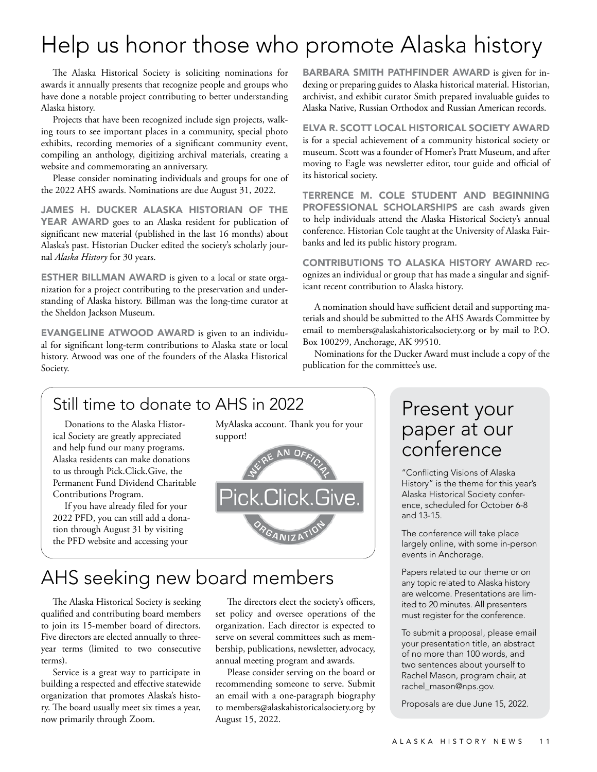# Help us honor those who promote Alaska history

The Alaska Historical Society is soliciting nominations for awards it annually presents that recognize people and groups who have done a notable project contributing to better understanding Alaska history.

Projects that have been recognized include sign projects, walking tours to see important places in a community, special photo exhibits, recording memories of a significant community event, compiling an anthology, digitizing archival materials, creating a website and commemorating an anniversary.

Please consider nominating individuals and groups for one of the 2022 AHS awards. Nominations are due August 31, 2022.

JAMES H. DUCKER ALASKA HISTORIAN OF THE YEAR AWARD goes to an Alaska resident for publication of significant new material (published in the last 16 months) about Alaska's past. Historian Ducker edited the society's scholarly journal *Alaska History* for 30 years.

ESTHER BILLMAN AWARD is given to a local or state organization for a project contributing to the preservation and understanding of Alaska history. Billman was the long-time curator at the Sheldon Jackson Museum.

EVANGELINE ATWOOD AWARD is given to an individual for significant long-term contributions to Alaska state or local history. Atwood was one of the founders of the Alaska Historical Society.

BARBARA SMITH PATHFINDER AWARD is given for indexing or preparing guides to Alaska historical material. Historian, archivist, and exhibit curator Smith prepared invaluable guides to Alaska Native, Russian Orthodox and Russian American records.

ELVA R. SCOTT LOCAL HISTORICAL SOCIETY AWARD is for a special achievement of a community historical society or museum. Scott was a founder of Homer's Pratt Museum, and after moving to Eagle was newsletter editor, tour guide and official of its historical society.

TERRENCE M. COLE STUDENT AND BEGINNING PROFESSIONAL SCHOLARSHIPS are cash awards given to help individuals attend the Alaska Historical Society's annual conference. Historian Cole taught at the University of Alaska Fairbanks and led its public history program.

CONTRIBUTIONS TO ALASKA HISTORY AWARD recognizes an individual or group that has made a singular and significant recent contribution to Alaska history.

A nomination should have sufficient detail and supporting materials and should be submitted to the AHS Awards Committee by email to members@alaskahistoricalsociety.org or by mail to P.O. Box 100299, Anchorage, AK 99510.

Nominations for the Ducker Award must include a copy of the publication for the committee's use.

### Still time to donate to AHS in 2022

Donations to the Alaska Historical Society are greatly appreciated and help fund our many programs. Alaska residents can make donations to us through Pick.Click.Give, the Permanent Fund Dividend Charitable Contributions Program.

If you have already filed for your 2022 PFD, you can still add a donation through August 31 by visiting the PFD website and accessing your

MyAlaska account. Thank you for your support!



## AHS seeking new board members

The Alaska Historical Society is seeking qualified and contributing board members to join its 15-member board of directors. Five directors are elected annually to threeyear terms (limited to two consecutive terms).

Service is a great way to participate in building a respected and effective statewide organization that promotes Alaska's history. The board usually meet six times a year, now primarily through Zoom.

The directors elect the society's officers, set policy and oversee operations of the organization. Each director is expected to serve on several committees such as membership, publications, newsletter, advocacy, annual meeting program and awards.

Please consider serving on the board or recommending someone to serve. Submit an email with a one-paragraph biography to members@alaskahistoricalsociety.org by August 15, 2022.

### Present your paper at our conference

"Conflicting Visions of Alaska History" is the theme for this year's Alaska Historical Society conference, scheduled for October 6-8 and 13-15.

The conference will take place largely online, with some in-person events in Anchorage.

Papers related to our theme or on any topic related to Alaska history are welcome. Presentations are limited to 20 minutes. All presenters must register for the conference.

To submit a proposal, please email your presentation title, an abstract of no more than 100 words, and two sentences about yourself to Rachel Mason, program chair, at rachel\_mason@nps.gov.

Proposals are due June 15, 2022.